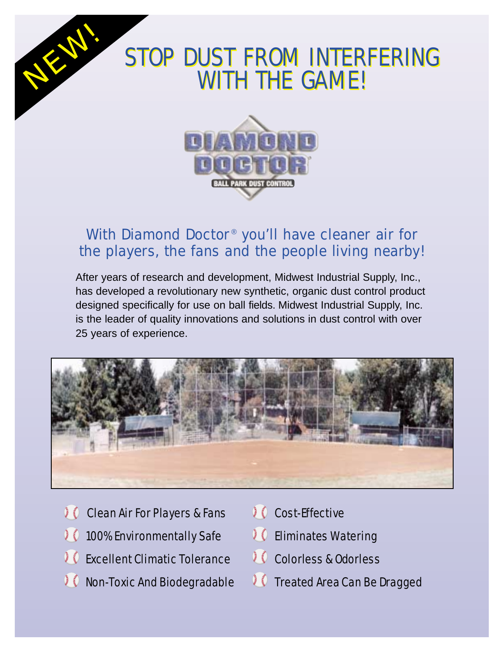## STOP DUST FROM INTERFERING WITH THE GAME! WITH THE GAME!STOP DUST FROM INTERFERING



## With Diamond Doctor<sup>®</sup> you'll have cleaner air for the players, the fans and the people living nearby!

After years of research and development, Midwest Industrial Supply, Inc., has developed a revolutionary new synthetic, organic dust control product designed specifically for use on ball fields. Midwest Industrial Supply, Inc. is the leader of quality innovations and solutions in dust control with over 25 years of experience.



- *C* Clean Air For Players & Fans
- 100% Environmentally Safe
- **C** Excellent Climatic Tolerance
- **Non-Toxic And Biodegradable**
- 10 Cost-Effective
- *OC* Eliminates Watering
- Colorless & Odorless
- *I* ( Treated Area Can Be Dragged